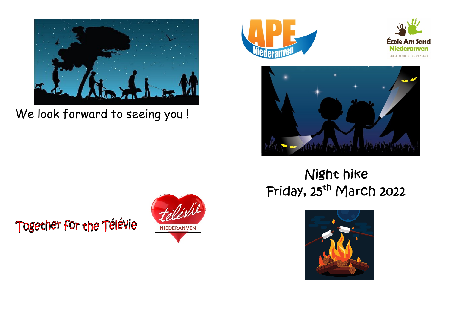

We look forward to seeing you!







## Night hike Friday, 25<sup>th</sup> March 2022



Together for the Télévie